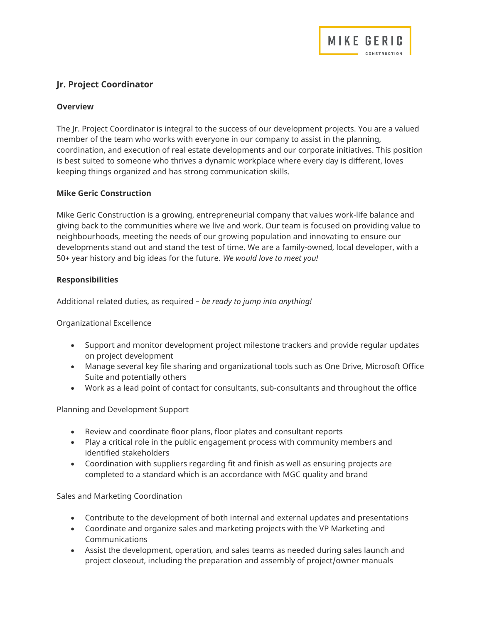# Jr. Project Coordinator

## **Overview**

The Jr. Project Coordinator is integral to the success of our development projects. You are a valued member of the team who works with everyone in our company to assist in the planning, coordination, and execution of real estate developments and our corporate initiatives. This position is best suited to someone who thrives a dynamic workplace where every day is different, loves keeping things organized and has strong communication skills.

MIKE GERIC

## Mike Geric Construction

Mike Geric Construction is a growing, entrepreneurial company that values work-life balance and giving back to the communities where we live and work. Our team is focused on providing value to neighbourhoods, meeting the needs of our growing population and innovating to ensure our developments stand out and stand the test of time. We are a family-owned, local developer, with a 50+ year history and big ideas for the future. We would love to meet you!

## Responsibilities

Additional related duties, as required – be ready to jump into anything!

Organizational Excellence

- Support and monitor development project milestone trackers and provide regular updates on project development
- Manage several key file sharing and organizational tools such as One Drive, Microsoft Office Suite and potentially others
- Work as a lead point of contact for consultants, sub-consultants and throughout the office

Planning and Development Support

- Review and coordinate floor plans, floor plates and consultant reports
- Play a critical role in the public engagement process with community members and identified stakeholders
- Coordination with suppliers regarding fit and finish as well as ensuring projects are completed to a standard which is an accordance with MGC quality and brand

Sales and Marketing Coordination

- Contribute to the development of both internal and external updates and presentations
- Coordinate and organize sales and marketing projects with the VP Marketing and Communications
- Assist the development, operation, and sales teams as needed during sales launch and project closeout, including the preparation and assembly of project/owner manuals